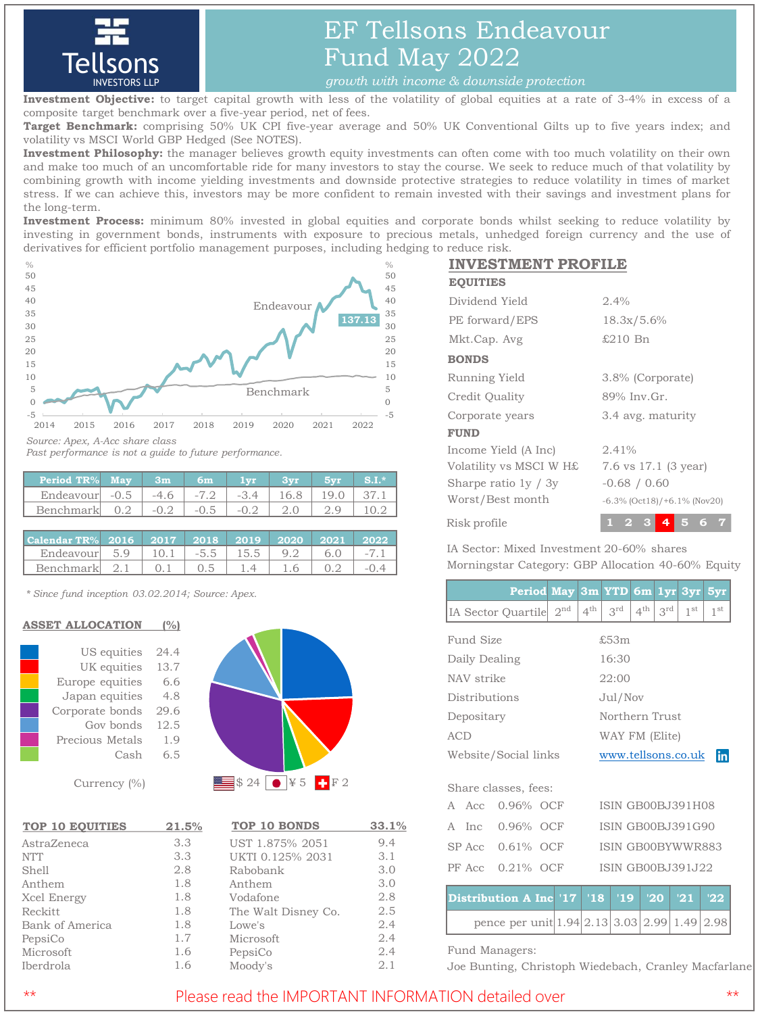

# EF Tellsons Endeavour Fund May 2022

**Investment Objective:** to target capital growth with less of the volatility of global equities at a rate of 3-4% in excess of a composite target benchmark over a five-year period, net of fees.

**Target Benchmark:** comprising 50% UK CPI five-year average and 50% UK Conventional Gilts up to five years index; and volatility vs MSCI World GBP Hedged (See NOTES).

**Investment Philosophy:** the manager believes growth equity investments can often come with too much volatility on their own and make too much of an uncomfortable ride for many investors to stay the course. We seek to reduce much of that volatility by combining growth with income yielding investments and downside protective strategies to reduce volatility in times of market stress. If we can achieve this, investors may be more confident to remain invested with their savings and investment plans for the long-term.

**Investment Process:** minimum 80% invested in global equities and corporate bonds whilst seeking to reduce volatility by investing in government bonds, instruments with exposure to precious metals, unhedged foreign currency and the use of derivatives for efficient portfolio management purposes, including hedging to reduce risk.



*Past performance is not a guide to future performance.*

| <b>Period TR%</b> | . May  | 3m     | 6m     | <b>Lyn</b> |  |  |
|-------------------|--------|--------|--------|------------|--|--|
| Endeavour         | $-0.5$ | $-46$  | $-7.2$ | $-34$      |  |  |
| Benchmark         | 0.2    | $-0.2$ | $-0.5$ | $-02$      |  |  |

| Calendar TR%   2016   2017   2018   2019   2020   2021   2022 |  |     |           |     |       |
|---------------------------------------------------------------|--|-----|-----------|-----|-------|
| Endeavour $5.9$   10.1   $-5.5$   15.5   9.2   6.0            |  |     |           |     | $-71$ |
| Benchmark $2.1 \pm 0.1$                                       |  | 0.5 | $1.4$ 1.6 | 0.2 |       |

*\* Since fund inception 03.02.2014; Source: Apex.*

### **ASSET ALLOCATION (%)**

| US equities     | 24.4 |
|-----------------|------|
| UK equities     | 13.7 |
| Europe equities | 6.6  |
| Japan equities  | 4.8  |
| Corporate bonds | 29.6 |
| Gov bonds       | 12.5 |
| Precious Metals | 1.9  |
| Cash            | 6.5  |
|                 |      |

Currency (%)

| <b>TOP 10 EQUITIES</b> | 21.5% |
|------------------------|-------|
| AstraZeneca            | 3.3   |
| <b>NTT</b>             | 3.3   |
| Shell                  | 2.8   |
| Anthem                 | 1.8   |
| Xcel Energy            | 1.8   |
| Reckitt                | 1.8   |
| Bank of America        | 1.8   |
| PepsiCo                | 1.7   |
| Microsoft              | 1.6   |
| Iberdrola              | 1.6   |



| <b>TOP 10 BONDS</b> | 33.1% |
|---------------------|-------|
| UST 1.875% 2051     | 9.4   |
| UKTI 0.125% 2031    | 3.1   |
| Rabobank            | 3.0   |
| Anthem              | 3.0   |
| Vodafone            | 2.8   |
| The Walt Disney Co. | 2.5   |
| Lowe's              | 2.4   |
| Microsoft           | 2.4   |
| PepsiCo             | 2.4   |
| Moody's             | 2.1   |

## **INVESTMENT PROFILE**

| <b>EQUITIES</b>         |                                    |
|-------------------------|------------------------------------|
| Dividend Yield          | 2.4%                               |
| PE forward/EPS          | 18.3x/5.6%                         |
| Mkt.Cap. Avg            | £210 Bn                            |
| <b>BONDS</b>            |                                    |
| Running Yield           | 3.8% (Corporate)                   |
| Credit Quality          | 89% Inv.Gr.                        |
| Corporate years         | 3.4 avg. maturity                  |
| <b>FUND</b>             |                                    |
| Income Yield (A Inc)    | 2.41%                              |
| Volatility vs MSCI W H£ | 7.6 vs 17.1 (3 year)               |
| Sharpe ratio $1y / 3y$  | $-0.68 / 0.60$                     |
| Worst/Best month        | $-6.3\%$ (Oct18)/ $+6.1\%$ (Nov20) |
| Risk profile            | ⊿                                  |
|                         |                                    |

IA Sector: Mixed Investment 20-60% shares Morningstar Category: GBP Allocation 40-60% Equity

|                                                   | <b>Period May</b>                       |                          |                 | 3m YTD                   | 6m              |                 | $1yr$ $3yr$     | 5yr             |  |
|---------------------------------------------------|-----------------------------------------|--------------------------|-----------------|--------------------------|-----------------|-----------------|-----------------|-----------------|--|
|                                                   | IA Sector Quartile                      | 2 <sub>nd</sub>          | $4^{\text{th}}$ | $3^{\text{rd}}$          | $4^{\text{th}}$ | $3^{\text{rd}}$ | 1 <sup>st</sup> | 1 <sup>st</sup> |  |
| Fund Size                                         |                                         | £53m                     |                 |                          |                 |                 |                 |                 |  |
| Daily Dealing                                     |                                         |                          |                 | 16:30                    |                 |                 |                 |                 |  |
| NAV strike                                        |                                         |                          |                 | 22:00                    |                 |                 |                 |                 |  |
| Distributions                                     |                                         |                          |                 | Jul/Nov                  |                 |                 |                 |                 |  |
| Depositary                                        |                                         |                          |                 | Northern Trust           |                 |                 |                 |                 |  |
| <b>ACD</b>                                        |                                         |                          |                 | WAY FM (Elite)           |                 |                 |                 |                 |  |
| Website/Social links                              |                                         |                          |                 | in<br>www.tellsons.co.uk |                 |                 |                 |                 |  |
|                                                   | Share classes, fees:                    |                          |                 |                          |                 |                 |                 |                 |  |
| A<br>Acc                                          |                                         | <b>ISIN GB00BJ391H08</b> |                 |                          |                 |                 |                 |                 |  |
| <b>ISIN GB00BJ391G90</b><br>0.96% OCF<br>A<br>Inc |                                         |                          |                 |                          |                 |                 |                 |                 |  |
| $SP$ Acc $0.61\%$ OCF                             |                                         |                          |                 | ISIN GB00BYWWR883        |                 |                 |                 |                 |  |
| $0.21\%$ OCF<br>PF Acc                            |                                         |                          |                 | <b>ISIN GB00BJ391J22</b> |                 |                 |                 |                 |  |
|                                                   | Distribution A Inc '17 '18              |                          |                 | '19'                     |                 | '20'            | '21             | '22             |  |
|                                                   | pence per unit 1.94 2.13 3.03 2.99 1.49 |                          |                 |                          |                 |                 |                 | 2.98            |  |

Fund Managers:

Joe Bunting, Christoph Wiedebach, Cranley Macfarlane

\*\* The Please read the IMPORTANT INFORMATION detailed over  $***$